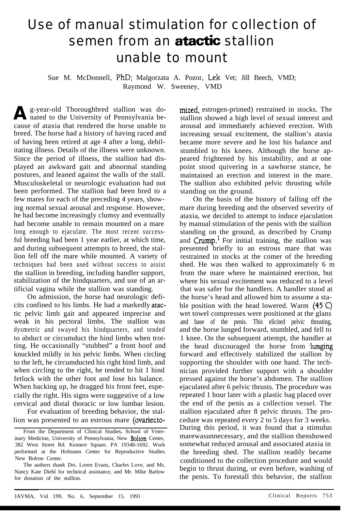## Use of manual stimulation for collection of semen from an **atactic** stallion unable to mount

Sue M. McDonnell, PhD; Malgorzata A. Pozor, Lek Vet; Jill Beech, VMD; Raymond W. Sweeney, VMD

A g-year-old Thoroughbred stallion was do-<br>anted to the University of Pennsylvania beg-year-old Thoroughbred stallion was docause of ataxia that rendered the horse unable to breed. The horse had a history of having raced and of having been retired at age 4 after a long, debilitating illness. Details of the illness were unknown. Since the period of illness, the stallion had displayed an awkward gait and abnormal standing postures, and leaned against the walls of the stall. Musculoskeletal or neurologic evaluation had not been performed. The stallion had been bred to a few mares for each of the preceding 4 years, showing normal sexual arousal and response. However, he had become increasingly clumsy and eventually had become unable to remain mounted on a mare long enough to ejaculate. The most recent successful breeding had been 1 year earlier, at which time, and during subsequent attempts to breed, the stallion fell off the mare while mounted. A variety of techniques had been used without success to assist the stallion in breeding, including handler support, stabilization of the hindquarters, and use of an artificial vagina while the stallion was standing.

On admission, the horse had neurologic deficits confined to his limbs. He had a markedly atactic pelvic limb gait and appeared imprecise and weak in his pectoral limbs. The stallion was dysmetric and swayed his hindquarters, and tended to abduct or circumduct the hind limbs when trotting. He occasionally "stubbed" a front hoof and knuckled mildly in his pelvic limbs. When circling to the left, he circumducted his right hind limb, and when circling to the right, he tended to hit 1 hind fetlock with the other foot and lose his balance. When backing up, he dragged his front feet, especially the right. His signs were suggestive of a low cervical and distal thoracic or low lumbar lesion.

For evaluation of breeding behavior, the stallion was presented to an estrous mare (ovariectomized, estrogen-primed) restrained in stocks. The stallion showed a high level of sexual interest and arousal and immediately achieved erection. With increasing sexual excitement, the stallion's ataxia became more severe and he lost his balance and stumbled to his knees. Although the horse appeared frightened by his instability, and at one point stood quivering in a sawhorse stance, he maintained an erection and interest in the mare. The stallion also exhibited pelvic thrusting while standing on the ground.

On the basis of the history of falling off the mare during breeding and the observed severity of ataxia, we decided to attempt to induce ejaculation by manual stimulation of the penis with the stallion standing on the ground, as described by Crump and  $Crump<sup>1</sup>$  For initial training, the stallion was presented briefly to an estrous mare that was restrained in stocks at the comer of the breeding shed. He was then walked to approximately 6 m from the mare where he maintained erection, but where his sexual excitement was reduced to a level that was safer for the handlers. A handler stood at the horse's head and allowed him to assume a stable position with the head lowered. Warm  $(45<sup>c</sup>)$ wet towel compresses were positioned at the glans and base of the penis. This elicited pelvic thrusting, and the horse lunged forward, stumbled, and fell to 1 knee. On the subsequent attempt, the handler at the head discouraged the horse from lunging forward and effectively stabilized the stallion by supporting the shoulder with one hand. The technician provided further support with a shoulder pressed against the horse's abdomen. The stallion ejaculated after 6 pelvic thrusts. The procedure was repeated 1 hour later with a plastic bag placed over the end of the penis as a collection vessel. The stallion ejaculated after 8 pelvic thrusts. The procedure was repeated every 2 to 5 days for 3 weeks. During this period, it was found that a stimulus marewasunnecessary, and the stallion thenshowed somewhat reduced arousal and associated ataxia in the breeding shed. The stallion readily became conditioned to the collection procedure and would begin to thrust during, or even before, washing of the penis. To forestall this behavior, the stallion

From the Department of Clinical Studies, School of Veterinary Medicine, University of Pennsylvania, New Bolton Center, 382 West Street Rd. Kennert Square. PA 19348-1692. Work performed at the Hofmann Center for Reproductive Studies. New Bolron Center.

The authors thank Drs. Loren Evans, Charles Love, and Ms. Nancy Kate Diehl for technical assistance, and Mr. Mike Barlow for donation of the stallion.